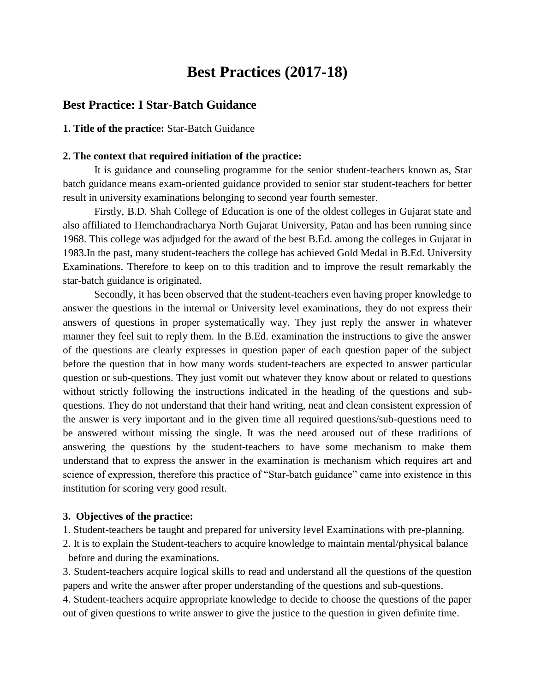# **Best Practices (2017-18)**

### **Best Practice: I Star-Batch Guidance**

**1. Title of the practice:** Star-Batch Guidance

#### **2. The context that required initiation of the practice:**

 It is guidance and counseling programme for the senior student-teachers known as, Star batch guidance means exam-oriented guidance provided to senior star student-teachers for better result in university examinations belonging to second year fourth semester.

Firstly, B.D. Shah College of Education is one of the oldest colleges in Gujarat state and also affiliated to Hemchandracharya North Gujarat University, Patan and has been running since 1968. This college was adjudged for the award of the best B.Ed. among the colleges in Gujarat in 1983.In the past, many student-teachers the college has achieved Gold Medal in B.Ed. University Examinations. Therefore to keep on to this tradition and to improve the result remarkably the star-batch guidance is originated.

Secondly, it has been observed that the student-teachers even having proper knowledge to answer the questions in the internal or University level examinations, they do not express their answers of questions in proper systematically way. They just reply the answer in whatever manner they feel suit to reply them. In the B.Ed. examination the instructions to give the answer of the questions are clearly expresses in question paper of each question paper of the subject before the question that in how many words student-teachers are expected to answer particular question or sub-questions. They just vomit out whatever they know about or related to questions without strictly following the instructions indicated in the heading of the questions and subquestions. They do not understand that their hand writing, neat and clean consistent expression of the answer is very important and in the given time all required questions/sub-questions need to be answered without missing the single. It was the need aroused out of these traditions of answering the questions by the student-teachers to have some mechanism to make them understand that to express the answer in the examination is mechanism which requires art and science of expression, therefore this practice of "Star-batch guidance" came into existence in this institution for scoring very good result.

### **3. Objectives of the practice:**

- 1. Student-teachers be taught and prepared for university level Examinations with pre-planning.
- 2. It is to explain the Student-teachers to acquire knowledge to maintain mental/physical balance before and during the examinations.

3. Student-teachers acquire logical skills to read and understand all the questions of the question papers and write the answer after proper understanding of the questions and sub-questions.

4. Student-teachers acquire appropriate knowledge to decide to choose the questions of the paper out of given questions to write answer to give the justice to the question in given definite time.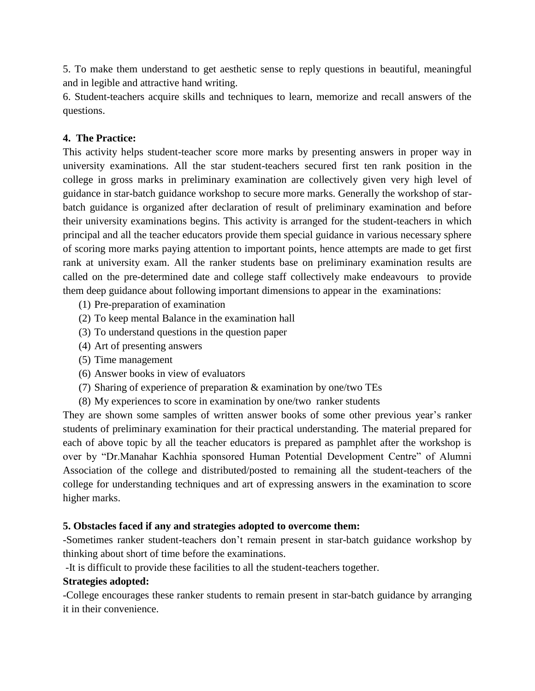5. To make them understand to get aesthetic sense to reply questions in beautiful, meaningful and in legible and attractive hand writing.

6. Student-teachers acquire skills and techniques to learn, memorize and recall answers of the questions.

### **4. The Practice:**

This activity helps student-teacher score more marks by presenting answers in proper way in university examinations. All the star student-teachers secured first ten rank position in the college in gross marks in preliminary examination are collectively given very high level of guidance in star-batch guidance workshop to secure more marks. Generally the workshop of starbatch guidance is organized after declaration of result of preliminary examination and before their university examinations begins. This activity is arranged for the student-teachers in which principal and all the teacher educators provide them special guidance in various necessary sphere of scoring more marks paying attention to important points, hence attempts are made to get first rank at university exam. All the ranker students base on preliminary examination results are called on the pre-determined date and college staff collectively make endeavours to provide them deep guidance about following important dimensions to appear in the examinations:

- (1) Pre-preparation of examination
- (2) To keep mental Balance in the examination hall
- (3) To understand questions in the question paper
- (4) Art of presenting answers
- (5) Time management
- (6) Answer books in view of evaluators
- (7) Sharing of experience of preparation & examination by one/two TEs
- (8) My experiences to score in examination by one/two ranker students

They are shown some samples of written answer books of some other previous year's ranker students of preliminary examination for their practical understanding. The material prepared for each of above topic by all the teacher educators is prepared as pamphlet after the workshop is over by "Dr.Manahar Kachhia sponsored Human Potential Development Centre" of Alumni Association of the college and distributed/posted to remaining all the student-teachers of the college for understanding techniques and art of expressing answers in the examination to score higher marks.

### **5. Obstacles faced if any and strategies adopted to overcome them:**

-Sometimes ranker student-teachers don't remain present in star-batch guidance workshop by thinking about short of time before the examinations.

-It is difficult to provide these facilities to all the student-teachers together.

### **Strategies adopted:**

-College encourages these ranker students to remain present in star-batch guidance by arranging it in their convenience.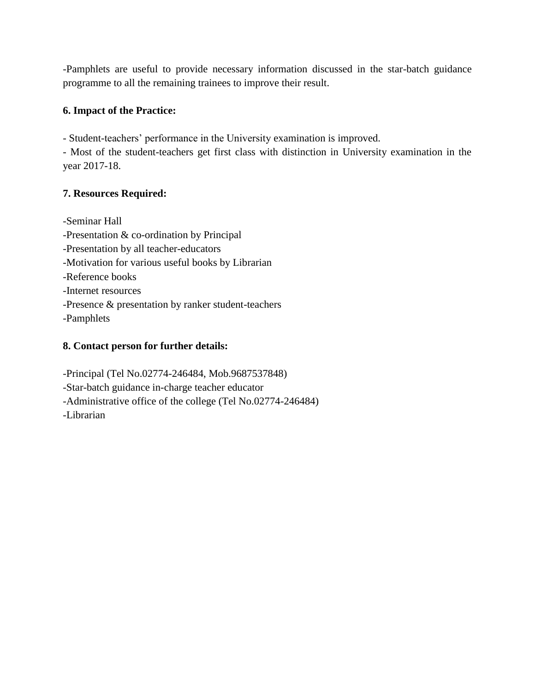-Pamphlets are useful to provide necessary information discussed in the star-batch guidance programme to all the remaining trainees to improve their result.

### **6. Impact of the Practice:**

- Student-teachers' performance in the University examination is improved.

- Most of the student-teachers get first class with distinction in University examination in the year 2017-18.

### **7. Resources Required:**

-Seminar Hall -Presentation & co-ordination by Principal -Presentation by all teacher-educators -Motivation for various useful books by Librarian -Reference books -Internet resources -Presence & presentation by ranker student-teachers -Pamphlets

## **8. Contact person for further details:**

-Principal (Tel No.02774-246484, Mob.9687537848) -Star-batch guidance in-charge teacher educator -Administrative office of the college (Tel No.02774-246484) -Librarian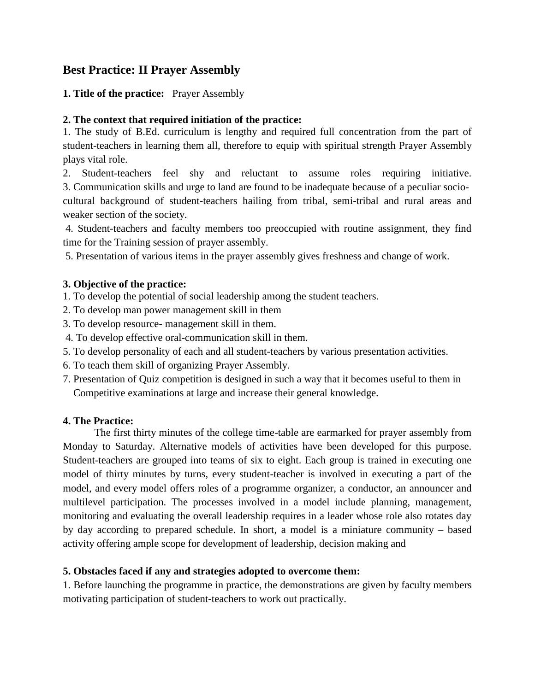# **Best Practice: II Prayer Assembly**

### **1. Title of the practice:** Prayer Assembly

### **2. The context that required initiation of the practice:**

1. The study of B.Ed. curriculum is lengthy and required full concentration from the part of student-teachers in learning them all, therefore to equip with spiritual strength Prayer Assembly plays vital role.

2. Student-teachers feel shy and reluctant to assume roles requiring initiative. 3. Communication skills and urge to land are found to be inadequate because of a peculiar sociocultural background of student-teachers hailing from tribal, semi-tribal and rural areas and weaker section of the society.

4. Student-teachers and faculty members too preoccupied with routine assignment, they find time for the Training session of prayer assembly.

5. Presentation of various items in the prayer assembly gives freshness and change of work.

### **3. Objective of the practice:**

1. To develop the potential of social leadership among the student teachers.

- 2. To develop man power management skill in them
- 3. To develop resource- management skill in them.
- 4. To develop effective oral-communication skill in them.
- 5. To develop personality of each and all student-teachers by various presentation activities.
- 6. To teach them skill of organizing Prayer Assembly.
- 7. Presentation of Quiz competition is designed in such a way that it becomes useful to them in Competitive examinations at large and increase their general knowledge.

### **4. The Practice:**

The first thirty minutes of the college time-table are earmarked for prayer assembly from Monday to Saturday. Alternative models of activities have been developed for this purpose. Student-teachers are grouped into teams of six to eight. Each group is trained in executing one model of thirty minutes by turns, every student-teacher is involved in executing a part of the model, and every model offers roles of a programme organizer, a conductor, an announcer and multilevel participation. The processes involved in a model include planning, management, monitoring and evaluating the overall leadership requires in a leader whose role also rotates day by day according to prepared schedule. In short, a model is a miniature community – based activity offering ample scope for development of leadership, decision making and

### **5. Obstacles faced if any and strategies adopted to overcome them:**

1. Before launching the programme in practice, the demonstrations are given by faculty members motivating participation of student-teachers to work out practically.